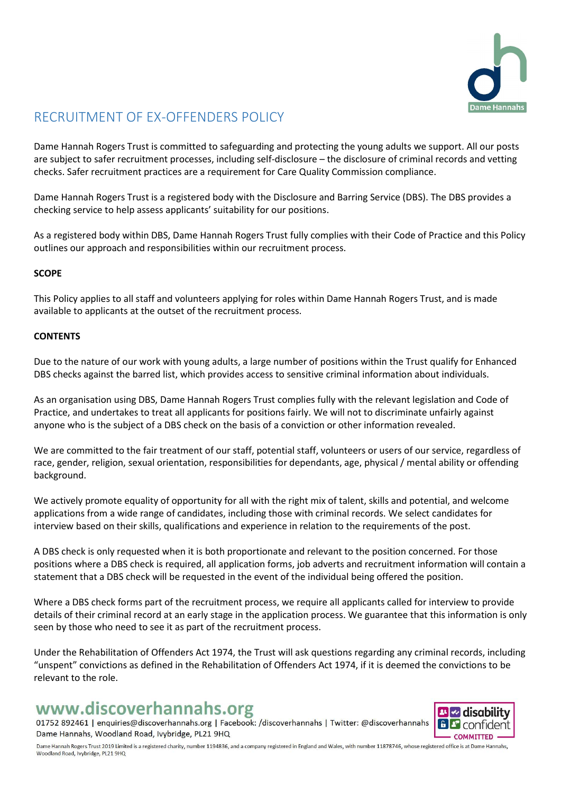

# RECRUITMENT OF EX-OFFENDERS POLICY

Dame Hannah Rogers Trust is committed to safeguarding and protecting the young adults we support. All our posts are subject to safer recruitment processes, including self-disclosure – the disclosure of criminal records and vetting checks. Safer recruitment practices are a requirement for Care Quality Commission compliance.

Dame Hannah Rogers Trust is a registered body with the Disclosure and Barring Service (DBS). The DBS provides a checking service to help assess applicants' suitability for our positions.

As a registered body within DBS, Dame Hannah Rogers Trust fully complies with their Code of Practice and this Policy outlines our approach and responsibilities within our recruitment process.

### **SCOPE**

This Policy applies to all staff and volunteers applying for roles within Dame Hannah Rogers Trust, and is made available to applicants at the outset of the recruitment process.

#### **CONTENTS**

Due to the nature of our work with young adults, a large number of positions within the Trust qualify for Enhanced DBS checks against the barred list, which provides access to sensitive criminal information about individuals.

As an organisation using DBS, Dame Hannah Rogers Trust complies fully with the relevant legislation and Code of Practice, and undertakes to treat all applicants for positions fairly. We will not to discriminate unfairly against anyone who is the subject of a DBS check on the basis of a conviction or other information revealed.

We are committed to the fair treatment of our staff, potential staff, volunteers or users of our service, regardless of race, gender, religion, sexual orientation, responsibilities for dependants, age, physical / mental ability or offending background.

We actively promote equality of opportunity for all with the right mix of talent, skills and potential, and welcome applications from a wide range of candidates, including those with criminal records. We select candidates for interview based on their skills, qualifications and experience in relation to the requirements of the post.

A DBS check is only requested when it is both proportionate and relevant to the position concerned. For those positions where a DBS check is required, all application forms, job adverts and recruitment information will contain a statement that a DBS check will be requested in the event of the individual being offered the position.

Where a DBS check forms part of the recruitment process, we require all applicants called for interview to provide details of their criminal record at an early stage in the application process. We guarantee that this information is only seen by those who need to see it as part of the recruitment process.

Under the Rehabilitation of Offenders Act 1974, the Trust will ask questions regarding any criminal records, including "unspent" convictions as defined in the Rehabilitation of Offenders Act 1974, if it is deemed the convictions to be relevant to the role.

# www.discoverhannahs.org

01752 892461 | enquiries@discoverhannahs.org | Facebook: /discoverhannahs | Twitter: @discoverhannahs Dame Hannahs, Woodland Road, Ivybridge, PL21 9HQ



Dame Hannah Rogers Trust 2019 Limited is a registered charity, number 1194836, and a company registered in England and Wales, with number 11878746, whose registered office is at Dame Hannahs, Woodland Road, Ivybridge, PL21 9HQ